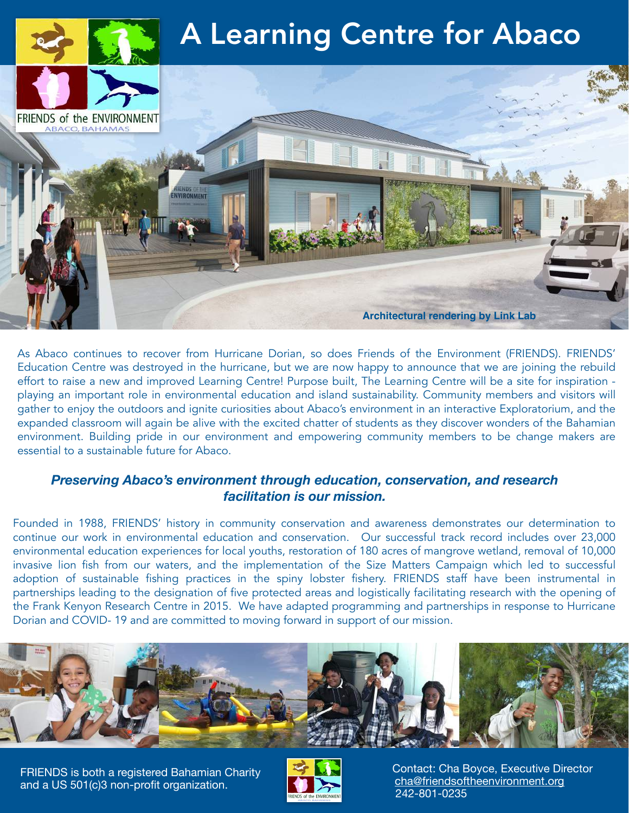

As Abaco continues to recover from Hurricane Dorian, so does Friends of the Environment (FRIENDS). FRIENDS' Education Centre was destroyed in the hurricane, but we are now happy to announce that we are joining the rebuild effort to raise a new and improved Learning Centre! Purpose built, The Learning Centre will be a site for inspiration playing an important role in environmental education and island sustainability. Community members and visitors will gather to enjoy the outdoors and ignite curiosities about Abaco's environment in an interactive Exploratorium, and the expanded classroom will again be alive with the excited chatter of students as they discover wonders of the Bahamian environment. Building pride in our environment and empowering community members to be change makers are essential to a sustainable future for Abaco.

## *Preserving Abaco's environment through education, conservation, and research facilitation is our mission.*

Founded in 1988, FRIENDS' history in community conservation and awareness demonstrates our determination to continue our work in environmental education and conservation. Our successful track record includes over 23,000 environmental education experiences for local youths, restoration of 180 acres of mangrove wetland, removal of 10,000 invasive lion fish from our waters, and the implementation of the Size Matters Campaign which led to successful adoption of sustainable fishing practices in the spiny lobster fishery. FRIENDS staff have been instrumental in partnerships leading to the designation of five protected areas and logistically facilitating research with the opening of the Frank Kenyon Research Centre in 2015. We have adapted programming and partnerships in response to Hurricane Dorian and COVID- 19 and are committed to moving forward in support of our mission.



FRIENDS is both a registered Bahamian Charity and a US 501(c)3 non-profit organization.



 Contact: Cha Boyce, Executive Director [cha@friendsoftheenvironment.org](mailto:cha@friendsoftheenvironment.org) 242-801-0235